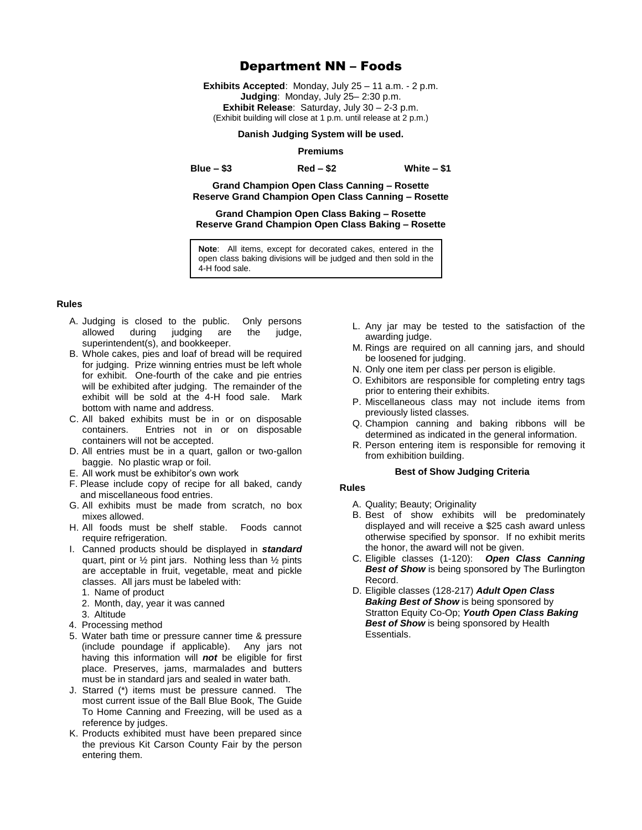# Department NN – Foods

**Exhibits Accepted**: Monday, July 25 – 11 a.m. - 2 p.m. **Judging**: Monday, July 25– 2:30 p.m. **Exhibit Release**: Saturday, July 30 – 2-3 p.m. (Exhibit building will close at 1 p.m. until release at 2 p.m.)

#### **Danish Judging System will be used.**

#### **Premiums**

**Blue – \$3 Red – \$2 White – \$1**

**Grand Champion Open Class Canning – Rosette Reserve Grand Champion Open Class Canning – Rosette**

# **Grand Champion Open Class Baking – Rosette Reserve Grand Champion Open Class Baking – Rosette**

**Note**: All items, except for decorated cakes, entered in the open class baking divisions will be judged and then sold in the 4-H food sale.

## **Rules**

- A. Judging is closed to the public. Only persons allowed during judging are the judge, superintendent(s), and bookkeeper.
- B. Whole cakes, pies and loaf of bread will be required for judging. Prize winning entries must be left whole for exhibit. One-fourth of the cake and pie entries will be exhibited after judging. The remainder of the exhibit will be sold at the 4-H food sale. Mark bottom with name and address.
- C. All baked exhibits must be in or on disposable containers. Entries not in or on disposable containers will not be accepted.
- D. All entries must be in a quart, gallon or two-gallon baggie. No plastic wrap or foil.
- E. All work must be exhibitor's own work
- F. Please include copy of recipe for all baked, candy and miscellaneous food entries.
- G. All exhibits must be made from scratch, no box mixes allowed.
- H. All foods must be shelf stable. Foods cannot require refrigeration.
- I. Canned products should be displayed in *standard* quart, pint or ½ pint jars. Nothing less than ½ pints are acceptable in fruit, vegetable, meat and pickle classes. All jars must be labeled with:
	- 1. Name of product
	- 2. Month, day, year it was canned
	- 3. Altitude
- 4. Processing method
- 5. Water bath time or pressure canner time & pressure (include poundage if applicable). Any jars not having this information will *not* be eligible for first place. Preserves, jams, marmalades and butters must be in standard jars and sealed in water bath.
- J. Starred (\*) items must be pressure canned. The most current issue of the Ball Blue Book, The Guide To Home Canning and Freezing, will be used as a reference by judges.
- K. Products exhibited must have been prepared since the previous Kit Carson County Fair by the person entering them.
- L. Any jar may be tested to the satisfaction of the awarding judge.
- M. Rings are required on all canning jars, and should be loosened for judging.
- N. Only one item per class per person is eligible.
- O. Exhibitors are responsible for completing entry tags prior to entering their exhibits.
- P. Miscellaneous class may not include items from previously listed classes.
- Q. Champion canning and baking ribbons will be determined as indicated in the general information.
- R. Person entering item is responsible for removing it from exhibition building.

## **Best of Show Judging Criteria**

# **Rules**

- A. Quality; Beauty; Originality
- B. Best of show exhibits will be predominately displayed and will receive a \$25 cash award unless otherwise specified by sponsor. If no exhibit merits the honor, the award will not be given.
- C. Eligible classes (1-120): *Open Class Canning*  **Best of Show** is being sponsored by The Burlington Record.
- D. Eligible classes (128-217) *Adult Open Class*  **Baking Best of Show** is being sponsored by Stratton Equity Co-Op; *Youth Open Class Baking*  **Best of Show** is being sponsored by Health Essentials.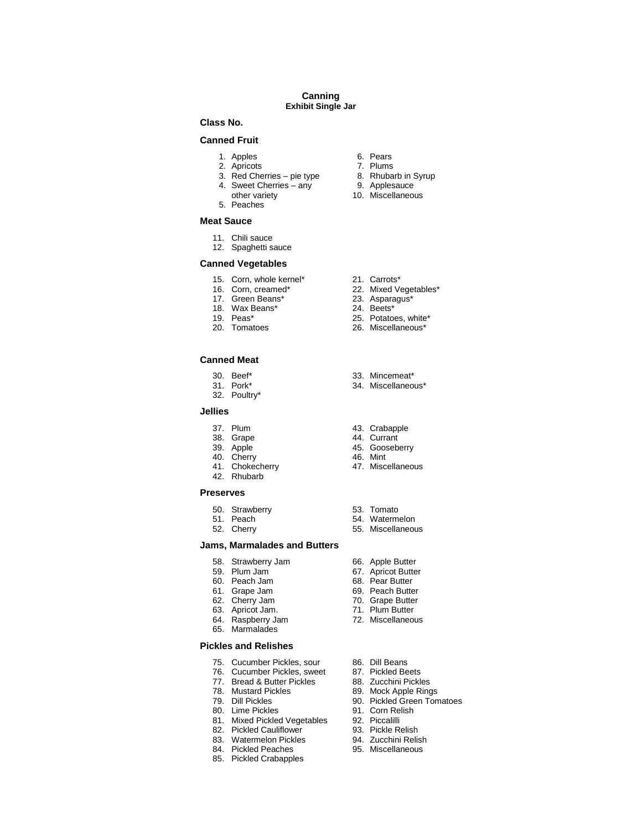#### **Canning Exhibit Single Jar**

## **Class No.**

## **Canned Fruit**

- 1. Apples 6. Pears<br>2. Apricots 6. Plums
- 
- 2. Apricots 7. Plums<br>3. Red Cherries pie type 8. Rhubarb in Syrup 3. Red Cherries – pie type 8. Rhubarb in S<br>4. Sweet Cherries – any 9. Applesauce
- 4. Sweet Cherries any<br>other variety
- 5. Peaches

#### **Meat Sauce**

- 11. Chili sauce
- 12. Spaghetti sauce

#### **Canned Vegetables**

- 
- 15. Corn, whole kernel\* 21. Carrots\* 21. Carrots\* 22. Mixed Ve
- 
- 17. Green Beans\* 23. Aspara<br>18. Wax Beans\* 24. Beets\* 18. Wax Beans\*<br>19. Peas\*
- 
- 

#### **Canned Meat**

- 
- 
- 32. Poultry\*

#### **Jellies**

- 
- 
- 
- 
- 40. Cherry<br>41. Chokecherry
- 42. Rhubarb

#### **Preserves**

- 50. Strawberry 653. Tomato<br>51. Peach 654. Waterman
- 
- 

## **Jams, Marmalades and Butters**

- 58. Strawberry Jam 66. Apple Butter<br>59. Plum Jam 67. Apricot Butte
- 59. Plum Jam 67. Apricot Butter
- 
- 61. Grape Jam<br>62. Cherry Jam
- 
- 63. Apricot Jam.
- 
- 65. Marmalades

# **Pickles and Relishes**

- 75. Cucumber Pickles, sour 86. Dill Beans
- 76. Cucumber Pickles, sweet 87. Pickled Beets<br>77. Bread & Butter Pickles 88. Zucchini Pickles
- 77. Bread & Butter Pickles<br>78. Mustard Pickles
	-
- 
- 
- 80. Lime Pickles 91. Corn Relish<br>81. Mixed Pickled Vegetables 92. Piccalilli 81. Mixed Pickled Vegetables 92. Piccalilli
- 82. Pickled Cauliflower 93. Pickle Relish
- 83. Watermelon Pickles 94. Zucchini Relish
- 84. Pickled Peaches 95. Miscellaneous
- 85. Pickled Crabapples
- 
- 
- 
- 
- 10. Miscellaneous
- 
- 22. Mixed Vegetables\*<br>23. Asparagus\*
- 
- 
- 19. Peas\* 25. Potatoes, white\*<br>20. Tomatoes 26. Miscellaneous\*
	- 26. Miscellaneous\*
- 30. Beef\* 33. Mincemeat\*
	- 34. Miscellaneous\*
- 37. Plum 43. Crabapple<br>38. Grape 44. Currant
	- 44. Currant
- 39. Apple 45. Gooseberry<br>40. Cherry 19. Annual 46. Mint
	-
	- 47. Miscellaneous
	-
- 51. Peach 54. Watermelon<br>52. Cherry 55. Miscellaneou
	- 55. Miscellaneous
	-
	-
	- 68. Pear Butter<br>69. Peach Butter
	-
	- 70. Grape Butter<br>71. Plum Butter
	-
- 64. Raspberry Jam 72. Miscellaneous
	-
	-
	-
- 78. Mustard Pickles 89. Mock Apple Rings<br>79. Dill Pickles 89. Pickled Green Ton
	- 90. Pickled Green Tomatoes
	-
	-
	-
	-
	-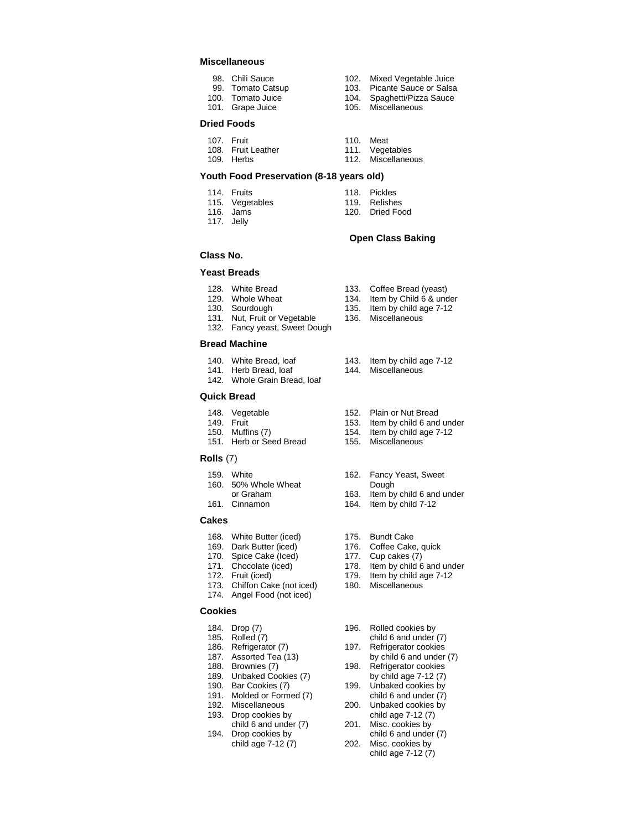## **Miscellaneous**

- 98. Chili Sauce **102.** Mixed Vegetable Juice
- 
- 
- 
- 99. Tomato Catsup 103. Picante Sauce or Salsa<br>100. Tomato Juice 104. Spaghetti/Pizza Sauce
	- Spaghetti/Pizza Sauce
- 101. Grape Juice 105. Miscellaneous
- **Dried Foods**
- 
- 107. Fruit 10. Meat<br>108. Fruit Leather 111. Vegetables 108. Fruit Leather 109. Herbs 112. Miscellaneous

#### **Youth Food Preservation (8-18 years old)**

- 
- 115. Vegetables
- 
- 117. Jelly
- 
- 114. Fruits 118. Pickles<br>115. Vegetables 119. Relishes
	-
- 116. Jams 120. Dried Food

#### **Open Class Baking**

Item by Child  $6$  & under

# **Class No.**

# **Yeast Breads**

- 128. White Bread 133. Coffee Bread (yeast)<br>129. Whole Wheat 134. Item by Child 6 & und
- 
- 
- 130. Sourdough 135. Item by child age 7-12<br>131. Nut, Fruit or Vegetable 136. Miscellaneous 131. Nut, Fruit or Vegetable
- 132. Fancy yeast, Sweet Dough

#### **Bread Machine**

- 140. White Bread, loaf 143. Item by child age 7-12
- 141. Herb Bread, loaf 144. Miscellaneous
- 142. Whole Grain Bread, loaf

## **Quick Bread**

- 148. Vegetable 152. Plain or Nut Bread
- 
- 149. Fruit 153. Item by child 6 and under<br>150. Muffins (7) 154. Item by child age 7-12
- 151. Herb or Seed Bread 155. Miscellaneous

#### **Rolls** (7)

- 
- 160. 50% Whole Wheat<br>or Graham
- 
- 

# **Cakes**

- 168. White Butter (iced) 175. Bundt Cake
- 169. Dark Butter (iced) 176. Coffee Cake, quick<br>170. Spice Cake (Iced) 177. Cup cakes (7)
- 
- 
- 
- 173. Chiffon Cake (not iced)
- 174. Angel Food (not iced)

## **Cookies**

- 
- 
- 
- 187. Assorted Tea  $(13)$
- 
- 189. Unbaked Cookies (7)
- 
- 191. Molded or Formed (7)
- 
- 193. Drop cookies by<br>child 6 and under (7)
- 194. Drop cookies by
- 
- 186. Refrigerator (7) 197. Refrigerator cookies<br>187. Assorted Tea (13) by child 6 and under (7)
- 188. Brownies (7) 198. Refrigerator cookies<br>189. Unbaked Cookies (7) by child age 7-12 (7)
- 190. Bar Cookies (7) 199. Unbaked cookies by<br>191. Molded or Formed (7) child 6 and under (7)
- 192. Miscellaneous 200. Unbaked cookies by<br>193. Drop cookies by child age 7-12 (7)
	- 201. Misc. cookies by<br>child 6 and under (7)
	- child age 7-12 (7)
- 159. White 162. Fancy Yeast, Sweet<br>160. 50% Whole Wheat 162. Dough
	-

154. Item by child age 7-12

- or Graham 163. Item by child 6 and under<br>161. Cinnamon 164. Item by child 7-12 164. Item by child 7-12
	-
	-
	-
	- 177. Cup cakes  $(7)$
	-
	-
	-
	- 179. Item by child age  $7-12$ <br>180. Miscellaneous
	-
- 171. Chocolate (iced) 178. Item by child 6 and under<br>172. Fruit (iced) 179. Item by child age 7-12
	-
	-
- 184. Drop (7) 196. Rolled cookies by
- 185. Rolled (7) child 6 and under (7)<br>186. Refrigerator (7) 197. Refrigerator cookies
	-
	-
	-
	-
	- child age 7-12 (7) 202. Misc. cookies by
- 
- 
- 
- 
-